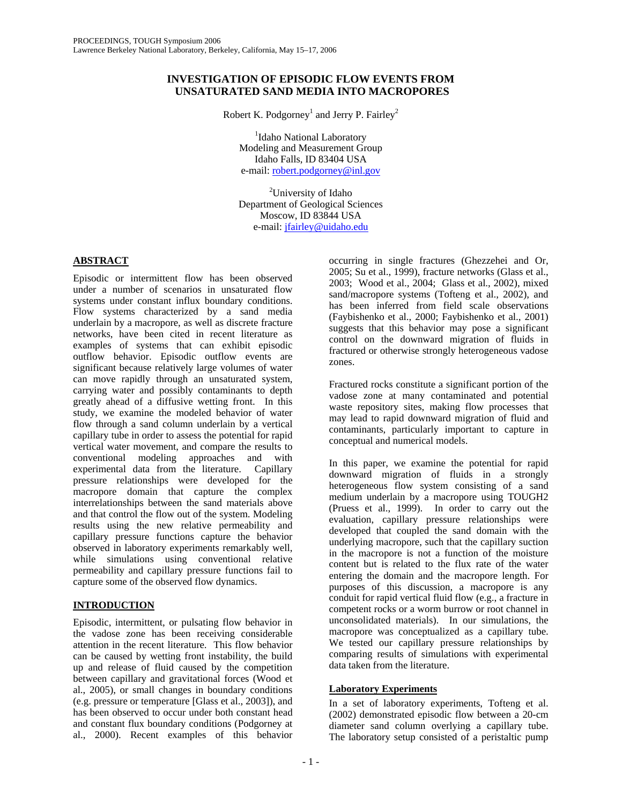## **INVESTIGATION OF EPISODIC FLOW EVENTS FROM UNSATURATED SAND MEDIA INTO MACROPORES**

Robert K. Podgorney<sup>1</sup> and Jerry P. Fairley<sup>2</sup>

<sup>1</sup>Idaho National Laboratory Modeling and Measurement Group Idaho Falls, ID 83404 USA e-mail: [robert.podgorney@inl.gov](mailto:robert.podgorney@inl.gov)

<sup>2</sup>University of Idaho Department of Geological Sciences Moscow, ID 83844 USA e-mail: [jfairley@uidaho.edu](mailto:jfairley@uidaho.edu)

## **ABSTRACT**

Episodic or intermittent flow has been observed under a number of scenarios in unsaturated flow systems under constant influx boundary conditions. Flow systems characterized by a sand media underlain by a macropore, as well as discrete fracture networks, have been cited in recent literature as examples of systems that can exhibit episodic outflow behavior. Episodic outflow events are significant because relatively large volumes of water can move rapidly through an unsaturated system, carrying water and possibly contaminants to depth greatly ahead of a diffusive wetting front. In this study, we examine the modeled behavior of water flow through a sand column underlain by a vertical capillary tube in order to assess the potential for rapid vertical water movement, and compare the results to conventional modeling approaches and with experimental data from the literature. Capillary pressure relationships were developed for the macropore domain that capture the complex interrelationships between the sand materials above and that control the flow out of the system. Modeling results using the new relative permeability and capillary pressure functions capture the behavior observed in laboratory experiments remarkably well, while simulations using conventional relative permeability and capillary pressure functions fail to capture some of the observed flow dynamics.

# **INTRODUCTION**

Episodic, intermittent, or pulsating flow behavior in the vadose zone has been receiving considerable attention in the recent literature. This flow behavior can be caused by wetting front instability, the build up and release of fluid caused by the competition between capillary and gravitational forces (Wood et al., 2005), or small changes in boundary conditions (e.g. pressure or temperature [Glass et al., 2003]), and has been observed to occur under both constant head and constant flux boundary conditions (Podgorney at al., 2000). Recent examples of this behavior

occurring in single fractures (Ghezzehei and Or, 2005; Su et al., 1999), fracture networks (Glass et al., 2003; Wood et al., 2004; Glass et al., 2002), mixed sand/macropore systems (Tofteng et al., 2002), and has been inferred from field scale observations (Faybishenko et al., 2000; Faybishenko et al., 2001) suggests that this behavior may pose a significant control on the downward migration of fluids in fractured or otherwise strongly heterogeneous vadose zones.

Fractured rocks constitute a significant portion of the vadose zone at many contaminated and potential waste repository sites, making flow processes that may lead to rapid downward migration of fluid and contaminants, particularly important to capture in conceptual and numerical models.

In this paper, we examine the potential for rapid downward migration of fluids in a strongly heterogeneous flow system consisting of a sand medium underlain by a macropore using TOUGH2 (Pruess et al., 1999). In order to carry out the evaluation, capillary pressure relationships were developed that coupled the sand domain with the underlying macropore, such that the capillary suction in the macropore is not a function of the moisture content but is related to the flux rate of the water entering the domain and the macropore length. For purposes of this discussion, a macropore is any conduit for rapid vertical fluid flow (e.g., a fracture in competent rocks or a worm burrow or root channel in unconsolidated materials). In our simulations, the macropore was conceptualized as a capillary tube. We tested our capillary pressure relationships by comparing results of simulations with experimental data taken from the literature.

## **Laboratory Experiments**

In a set of laboratory experiments, Tofteng et al. (2002) demonstrated episodic flow between a 20-cm diameter sand column overlying a capillary tube. The laboratory setup consisted of a peristaltic pump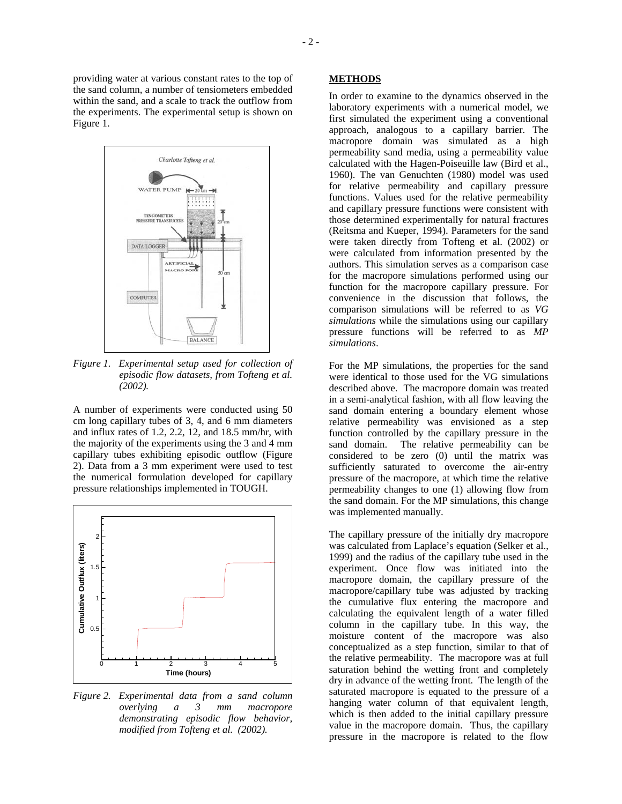providing water at various constant rates to the top of the sand column, a number of tensiometers embedded within the sand, and a scale to track the outflow from the experiments. The experimental setup is shown on Figure 1.



*Figure 1. Experimental setup used for collection of episodic flow datasets, from Tofteng et al. (2002).* 

A number of experiments were conducted using 50 cm long capillary tubes of 3, 4, and 6 mm diameters and influx rates of 1.2, 2.2, 12, and 18.5 mm/hr, with the majority of the experiments using the 3 and 4 mm capillary tubes exhibiting episodic outflow (Figure 2). Data from a 3 mm experiment were used to test the numerical formulation developed for capillary pressure relationships implemented in TOUGH.



*Figure 2. Experimental data from a sand column overlying a 3 mm macropore demonstrating episodic flow behavior, modified from Tofteng et al. (2002).*

### **METHODS**

In order to examine to the dynamics observed in the laboratory experiments with a numerical model, we first simulated the experiment using a conventional approach, analogous to a capillary barrier. The macropore domain was simulated as a high permeability sand media, using a permeability value calculated with the Hagen-Poiseuille law (Bird et al., 1960). The van Genuchten (1980) model was used for relative permeability and capillary pressure functions. Values used for the relative permeability and capillary pressure functions were consistent with those determined experimentally for natural fractures (Reitsma and Kueper, 1994). Parameters for the sand were taken directly from Tofteng et al. (2002) or were calculated from information presented by the authors. This simulation serves as a comparison case for the macropore simulations performed using our function for the macropore capillary pressure. For convenience in the discussion that follows, the comparison simulations will be referred to as *VG simulations* while the simulations using our capillary pressure functions will be referred to as *MP simulations*.

For the MP simulations, the properties for the sand were identical to those used for the VG simulations described above. The macropore domain was treated in a semi-analytical fashion, with all flow leaving the sand domain entering a boundary element whose relative permeability was envisioned as a step function controlled by the capillary pressure in the sand domain. The relative permeability can be considered to be zero (0) until the matrix was sufficiently saturated to overcome the air-entry pressure of the macropore, at which time the relative permeability changes to one (1) allowing flow from the sand domain. For the MP simulations, this change was implemented manually.

The capillary pressure of the initially dry macropore was calculated from Laplace's equation (Selker et al., 1999) and the radius of the capillary tube used in the experiment. Once flow was initiated into the macropore domain, the capillary pressure of the macropore/capillary tube was adjusted by tracking the cumulative flux entering the macropore and calculating the equivalent length of a water filled column in the capillary tube. In this way, the moisture content of the macropore was also conceptualized as a step function, similar to that of the relative permeability. The macropore was at full saturation behind the wetting front and completely dry in advance of the wetting front. The length of the saturated macropore is equated to the pressure of a hanging water column of that equivalent length, which is then added to the initial capillary pressure value in the macropore domain. Thus, the capillary pressure in the macropore is related to the flow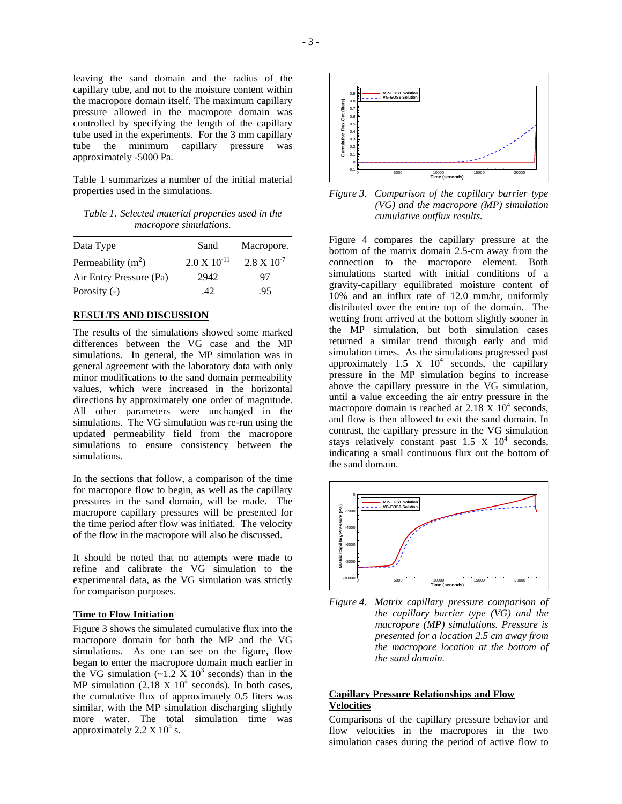the macropore domain itself. The maximum capillary pressure allowed in the macropore domain was controlled by specifying the length of the capillary tube used in the experiments. For the 3 mm capillary tube the minimum capillary pressure was approximately -5000 Pa.

Table 1 summarizes a number of the initial material properties used in the simulations.

*Table 1. Selected material properties used in the macropore simulations.* 

| Data Type               | Sand                  | Macropore.           |
|-------------------------|-----------------------|----------------------|
| Permeability $(m2)$     | $2.0 \times 10^{-11}$ | $2.8 \times 10^{-7}$ |
| Air Entry Pressure (Pa) | 2942                  | 97                   |
| Porosity $(-)$          | .42                   | .95                  |

### **RESULTS AND DISCUSSION**

The results of the simulations showed some marked differences between the VG case and the MP simulations. In general, the MP simulation was in general agreement with the laboratory data with only minor modifications to the sand domain permeability values, which were increased in the horizontal directions by approximately one order of magnitude. All other parameters were unchanged in the simulations. The VG simulation was re-run using the updated permeability field from the macropore simulations to ensure consistency between the simulations.

In the sections that follow, a comparison of the time for macropore flow to begin, as well as the capillary pressures in the sand domain, will be made. The macropore capillary pressures will be presented for the time period after flow was initiated. The velocity of the flow in the macropore will also be discussed.

It should be noted that no attempts were made to refine and calibrate the VG simulation to the experimental data, as the VG simulation was strictly for comparison purposes.

### **Time to Flow Initiation**

Figure 3 shows the simulated cumulative flux into the macropore domain for both the MP and the VG simulations. As one can see on the figure, flow began to enter the macropore domain much earlier in the VG simulation  $(-1.2 \times 10^3 \text{ seconds})$  than in the MP simulation  $(2.18 \times 10^4 \text{ seconds})$ . In both cases, the cumulative flux of approximately 0.5 liters was similar, with the MP simulation discharging slightly more water. The total simulation time was approximately  $2.2 \times 10^4$  s.



*Figure 3. Comparison of the capillary barrier type (VG) and the macropore (MP) simulation cumulative outflux results.* 

Figure 4 compares the capillary pressure at the bottom of the matrix domain 2.5-cm away from the connection to the macropore element. Both simulations started with initial conditions of a gravity-capillary equilibrated moisture content of 10% and an influx rate of 12.0 mm/hr, uniformly distributed over the entire top of the domain. The wetting front arrived at the bottom slightly sooner in the MP simulation, but both simulation cases returned a similar trend through early and mid simulation times. As the simulations progressed past approximately  $1.5 \times 10^4$  seconds, the capillary pressure in the MP simulation begins to increase above the capillary pressure in the VG simulation, until a value exceeding the air entry pressure in the macropore domain is reached at  $2.18 \times 10^4$  seconds, and flow is then allowed to exit the sand domain. In contrast, the capillary pressure in the VG simulation stays relatively constant past  $1.5 \times 10^4$  seconds, indicating a small continuous flux out the bottom of the sand domain.



*Figure 4. Matrix capillary pressure comparison of the capillary barrier type (VG) and the macropore (MP) simulations. Pressure is presented for a location 2.5 cm away from the macropore location at the bottom of the sand domain.* 

### **Capillary Pressure Relationships and Flow Velocities**

Comparisons of the capillary pressure behavior and flow velocities in the macropores in the two simulation cases during the period of active flow to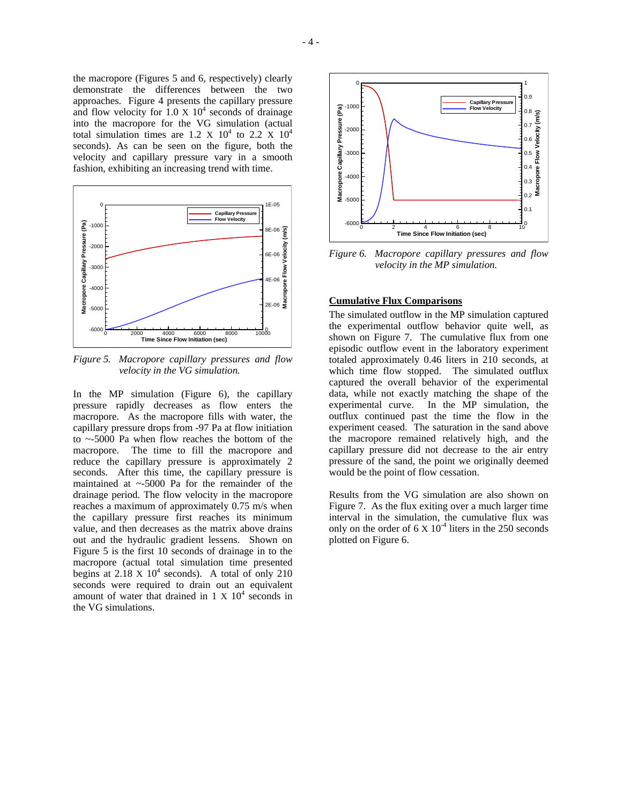the macropore (Figures 5 and 6, respectively) clearly demonstrate the differences between the two approaches. Figure 4 presents the capillary pressure and flow velocity for  $1.0 \times 10^4$  seconds of drainage into the macropore for the VG simulation (actual total simulation times are 1.2 X  $10^4$  to 2.2 X  $10^4$ seconds). As can be seen on the figure, both the velocity and capillary pressure vary in a smooth fashion, exhibiting an increasing trend with time.



*Figure 5. Macropore capillary pressures and flow velocity in the VG simulation.* 

In the MP simulation (Figure 6), the capillary pressure rapidly decreases as flow enters the macropore. As the macropore fills with water, the capillary pressure drops from -97 Pa at flow initiation to ~-5000 Pa when flow reaches the bottom of the macropore. The time to fill the macropore and reduce the capillary pressure is approximately 2 seconds. After this time, the capillary pressure is maintained at  $\sim$ -5000 Pa for the remainder of the drainage period. The flow velocity in the macropore reaches a maximum of approximately 0.75 m/s when the capillary pressure first reaches its minimum value, and then decreases as the matrix above drains out and the hydraulic gradient lessens. Shown on Figure 5 is the first 10 seconds of drainage in to the macropore (actual total simulation time presented begins at  $2.18 \times 10^4$  seconds). A total of only 210 seconds were required to drain out an equivalent amount of water that drained in  $1 \times 10^4$  seconds in the VG simulations.



*Figure 6. Macropore capillary pressures and flow velocity in the MP simulation.* 

## **Cumulative Flux Comparisons**

The simulated outflow in the MP simulation captured the experimental outflow behavior quite well, as shown on Figure 7. The cumulative flux from one episodic outflow event in the laboratory experiment totaled approximately 0.46 liters in 210 seconds, at which time flow stopped. The simulated outflux captured the overall behavior of the experimental data, while not exactly matching the shape of the experimental curve. In the MP simulation, the outflux continued past the time the flow in the experiment ceased. The saturation in the sand above the macropore remained relatively high, and the capillary pressure did not decrease to the air entry pressure of the sand, the point we originally deemed would be the point of flow cessation.

Results from the VG simulation are also shown on Figure 7. As the flux exiting over a much larger time interval in the simulation, the cumulative flux was only on the order of  $6 \times 10^{-4}$  liters in the 250 seconds plotted on Figure 6.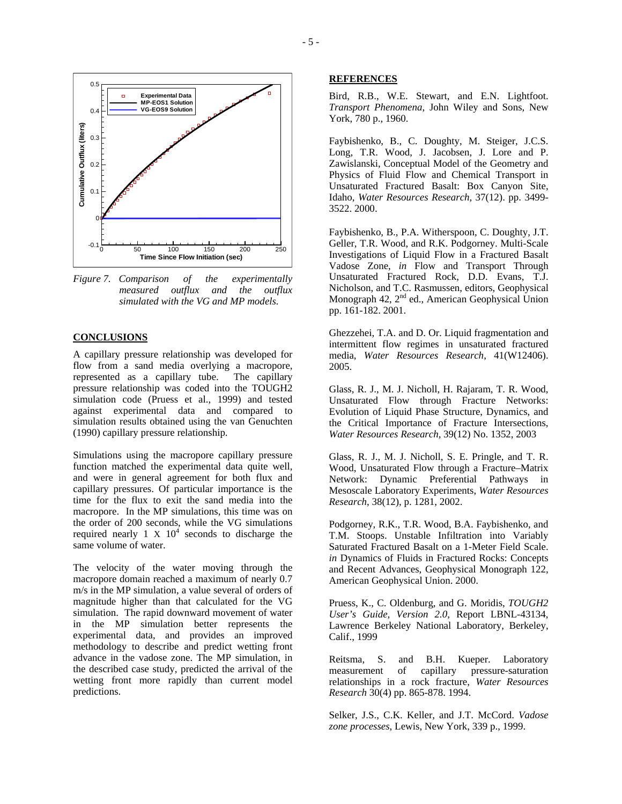

*Figure 7. Comparison of the experimentally measured outflux and the outflux simulated with the VG and MP models.* 

### **CONCLUSIONS**

A capillary pressure relationship was developed for flow from a sand media overlying a macropore, represented as a capillary tube. The capillary pressure relationship was coded into the TOUGH2 simulation code (Pruess et al., 1999) and tested against experimental data and compared to simulation results obtained using the van Genuchten (1990) capillary pressure relationship.

Simulations using the macropore capillary pressure function matched the experimental data quite well, and were in general agreement for both flux and capillary pressures. Of particular importance is the time for the flux to exit the sand media into the macropore. In the MP simulations, this time was on the order of 200 seconds, while the VG simulations required nearly 1 X  $10^4$  seconds to discharge the same volume of water.

The velocity of the water moving through the macropore domain reached a maximum of nearly 0.7 m/s in the MP simulation, a value several of orders of magnitude higher than that calculated for the VG simulation. The rapid downward movement of water in the MP simulation better represents the experimental data, and provides an improved methodology to describe and predict wetting front advance in the vadose zone. The MP simulation, in the described case study, predicted the arrival of the wetting front more rapidly than current model predictions.

#### **REFERENCES**

Bird, R.B., W.E. Stewart, and E.N. Lightfoot. *Transport Phenomena*, John Wiley and Sons, New York, 780 p., 1960.

Faybishenko, B., C. Doughty, M. Steiger, J.C.S. Long, T.R. Wood, J. Jacobsen, J. Lore and P. Zawislanski, Conceptual Model of the Geometry and Physics of Fluid Flow and Chemical Transport in Unsaturated Fractured Basalt: Box Canyon Site, Idaho, *Water Resources Research*, 37(12). pp. 3499- 3522. 2000.

Faybishenko, B., P.A. Witherspoon, C. Doughty, J.T. Geller, T.R. Wood, and R.K. Podgorney. Multi-Scale Investigations of Liquid Flow in a Fractured Basalt Vadose Zone, *in* Flow and Transport Through Unsaturated Fractured Rock, D.D. Evans, T.J. Nicholson, and T.C. Rasmussen, editors, Geophysical Monograph 42, 2<sup>nd</sup> ed., American Geophysical Union pp. 161-182. 2001.

Ghezzehei, T.A. and D. Or. Liquid fragmentation and intermittent flow regimes in unsaturated fractured media, *Water Resources Research*, 41(W12406). 2005.

Glass, R. J., M. J. Nicholl, H. Rajaram, T. R. Wood, Unsaturated Flow through Fracture Networks: Evolution of Liquid Phase Structure, Dynamics, and the Critical Importance of Fracture Intersections, *Water Resources Research,* 39(12) No. 1352, 2003

Glass, R. J., M. J. Nicholl, S. E. Pringle, and T. R. Wood, Unsaturated Flow through a Fracture–Matrix Network: Dynamic Preferential Pathways in Mesoscale Laboratory Experiments, *Water Resources Research*, 38(12), p. 1281, 2002.

Podgorney, R.K., T.R. Wood, B.A. Faybishenko, and T.M. Stoops. Unstable Infiltration into Variably Saturated Fractured Basalt on a 1-Meter Field Scale. *in* Dynamics of Fluids in Fractured Rocks: Concepts and Recent Advances, Geophysical Monograph 122, American Geophysical Union. 2000.

Pruess, K., C. Oldenburg, and G. Moridis, *TOUGH2 User's Guide, Version 2.0*, Report LBNL-43134, Lawrence Berkeley National Laboratory, Berkeley, Calif., 1999

Reitsma, S. and B.H. Kueper. Laboratory<br>measurement of capillary pressure-saturation measurement of capillary pressure-saturation relationships in a rock fracture, *Water Resources Research* 30(4) pp. 865-878. 1994.

Selker, J.S., C.K. Keller, and J.T. McCord. *Vadose zone processes*, Lewis, New York, 339 p., 1999.